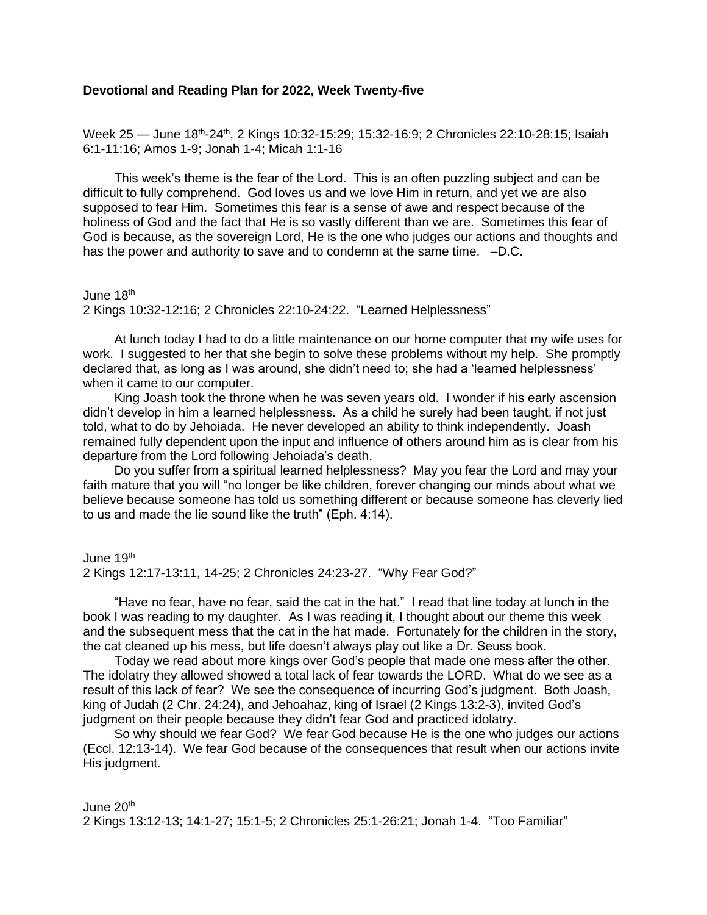## **Devotional and Reading Plan for 2022, Week Twenty-five**

Week 25 — June 18<sup>th</sup>-24<sup>th</sup>, 2 Kings 10:32-15:29; 15:32-16:9; 2 Chronicles 22:10-28:15; Isaiah 6:1-11:16; Amos 1-9; Jonah 1-4; Micah 1:1-16

This week's theme is the fear of the Lord. This is an often puzzling subject and can be difficult to fully comprehend. God loves us and we love Him in return, and yet we are also supposed to fear Him. Sometimes this fear is a sense of awe and respect because of the holiness of God and the fact that He is so vastly different than we are. Sometimes this fear of God is because, as the sovereign Lord, He is the one who judges our actions and thoughts and has the power and authority to save and to condemn at the same time.  $-D.C.$ 

June  $18<sup>th</sup>$ 

2 Kings 10:32-12:16; 2 Chronicles 22:10-24:22. "Learned Helplessness"

At lunch today I had to do a little maintenance on our home computer that my wife uses for work. I suggested to her that she begin to solve these problems without my help. She promptly declared that, as long as I was around, she didn't need to; she had a 'learned helplessness' when it came to our computer.

King Joash took the throne when he was seven years old. I wonder if his early ascension didn't develop in him a learned helplessness. As a child he surely had been taught, if not just told, what to do by Jehoiada. He never developed an ability to think independently. Joash remained fully dependent upon the input and influence of others around him as is clear from his departure from the Lord following Jehoiada's death.

Do you suffer from a spiritual learned helplessness? May you fear the Lord and may your faith mature that you will "no longer be like children, forever changing our minds about what we believe because someone has told us something different or because someone has cleverly lied to us and made the lie sound like the truth" (Eph. 4:14).

June 19<sup>th</sup> 2 Kings 12:17-13:11, 14-25; 2 Chronicles 24:23-27. "Why Fear God?"

"Have no fear, have no fear, said the cat in the hat." I read that line today at lunch in the book I was reading to my daughter. As I was reading it, I thought about our theme this week and the subsequent mess that the cat in the hat made. Fortunately for the children in the story, the cat cleaned up his mess, but life doesn't always play out like a Dr. Seuss book.

Today we read about more kings over God's people that made one mess after the other. The idolatry they allowed showed a total lack of fear towards the LORD. What do we see as a result of this lack of fear? We see the consequence of incurring God's judgment. Both Joash, king of Judah (2 Chr. 24:24), and Jehoahaz, king of Israel (2 Kings 13:2-3), invited God's judgment on their people because they didn't fear God and practiced idolatry.

So why should we fear God? We fear God because He is the one who judges our actions (Eccl. 12:13-14). We fear God because of the consequences that result when our actions invite His judgment.

June  $20<sup>th</sup>$ 2 Kings 13:12-13; 14:1-27; 15:1-5; 2 Chronicles 25:1-26:21; Jonah 1-4. "Too Familiar"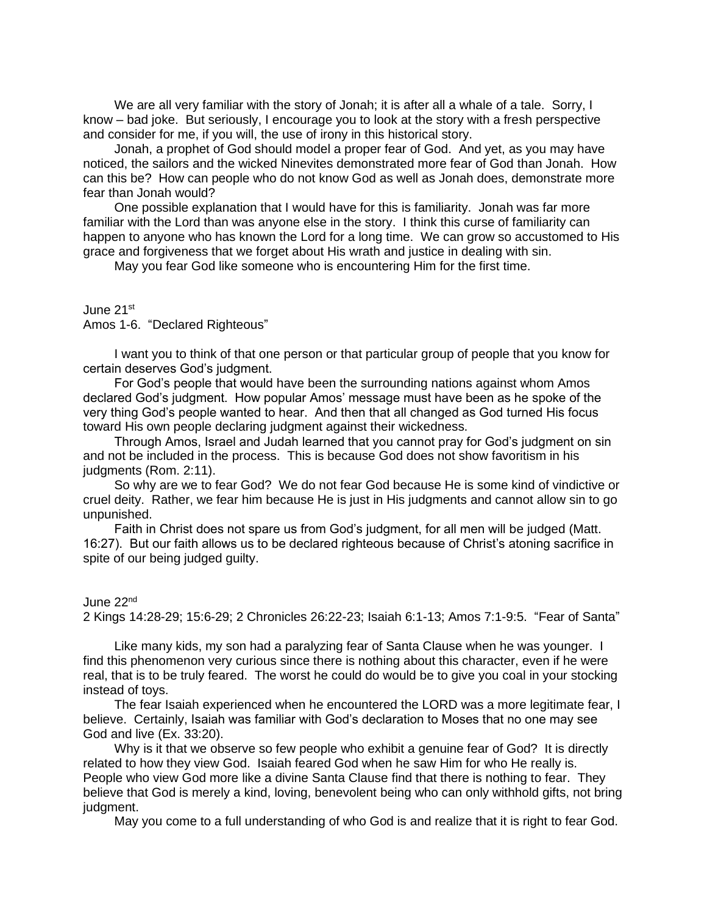We are all very familiar with the story of Jonah; it is after all a whale of a tale. Sorry, I know – bad joke. But seriously, I encourage you to look at the story with a fresh perspective and consider for me, if you will, the use of irony in this historical story.

Jonah, a prophet of God should model a proper fear of God. And yet, as you may have noticed, the sailors and the wicked Ninevites demonstrated more fear of God than Jonah. How can this be? How can people who do not know God as well as Jonah does, demonstrate more fear than Jonah would?

One possible explanation that I would have for this is familiarity. Jonah was far more familiar with the Lord than was anyone else in the story. I think this curse of familiarity can happen to anyone who has known the Lord for a long time. We can grow so accustomed to His grace and forgiveness that we forget about His wrath and justice in dealing with sin.

May you fear God like someone who is encountering Him for the first time.

## June 21st

Amos 1-6. "Declared Righteous"

I want you to think of that one person or that particular group of people that you know for certain deserves God's judgment.

For God's people that would have been the surrounding nations against whom Amos declared God's judgment. How popular Amos' message must have been as he spoke of the very thing God's people wanted to hear. And then that all changed as God turned His focus toward His own people declaring judgment against their wickedness.

Through Amos, Israel and Judah learned that you cannot pray for God's judgment on sin and not be included in the process. This is because God does not show favoritism in his judgments (Rom. 2:11).

So why are we to fear God? We do not fear God because He is some kind of vindictive or cruel deity. Rather, we fear him because He is just in His judgments and cannot allow sin to go unpunished.

Faith in Christ does not spare us from God's judgment, for all men will be judged (Matt. 16:27). But our faith allows us to be declared righteous because of Christ's atoning sacrifice in spite of our being judged guilty.

## June 22nd

2 Kings 14:28-29; 15:6-29; 2 Chronicles 26:22-23; Isaiah 6:1-13; Amos 7:1-9:5. "Fear of Santa"

Like many kids, my son had a paralyzing fear of Santa Clause when he was younger. I find this phenomenon very curious since there is nothing about this character, even if he were real, that is to be truly feared. The worst he could do would be to give you coal in your stocking instead of toys.

The fear Isaiah experienced when he encountered the LORD was a more legitimate fear, I believe. Certainly, Isaiah was familiar with God's declaration to Moses that no one may see God and live (Ex. 33:20).

Why is it that we observe so few people who exhibit a genuine fear of God? It is directly related to how they view God. Isaiah feared God when he saw Him for who He really is. People who view God more like a divine Santa Clause find that there is nothing to fear. They believe that God is merely a kind, loving, benevolent being who can only withhold gifts, not bring judgment.

May you come to a full understanding of who God is and realize that it is right to fear God.